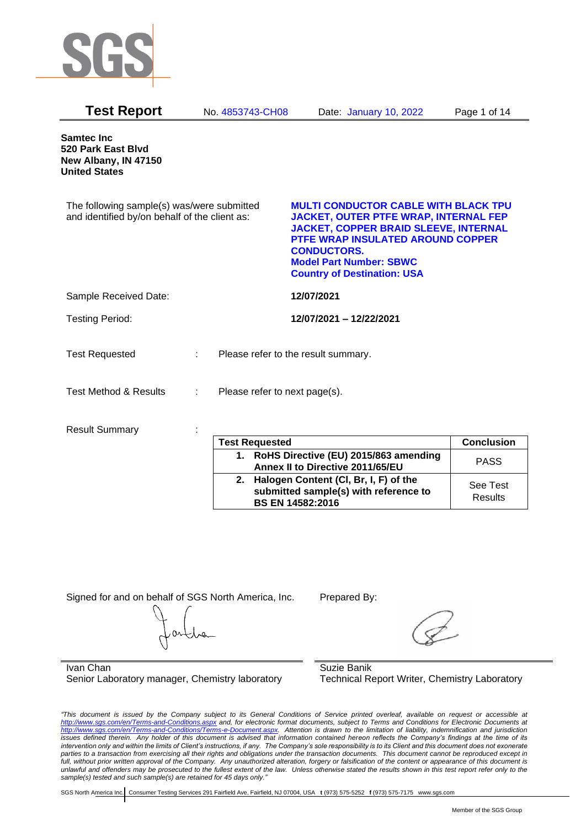

| <b>Test Report</b>                                                                          |    | No. 4853743-CH08              | Date: January 10, 2022                                                                                                                                                                                                                                                                | Page 1 of 14      |
|---------------------------------------------------------------------------------------------|----|-------------------------------|---------------------------------------------------------------------------------------------------------------------------------------------------------------------------------------------------------------------------------------------------------------------------------------|-------------------|
| <b>Samtec Inc</b><br>520 Park East Blvd<br>New Albany, IN 47150<br><b>United States</b>     |    |                               |                                                                                                                                                                                                                                                                                       |                   |
| The following sample(s) was/were submitted<br>and identified by/on behalf of the client as: |    |                               | <b>MULTI CONDUCTOR CABLE WITH BLACK TPU</b><br><b>JACKET, OUTER PTFE WRAP, INTERNAL FEP</b><br><b>JACKET, COPPER BRAID SLEEVE, INTERNAL</b><br><b>PTFE WRAP INSULATED AROUND COPPER</b><br><b>CONDUCTORS.</b><br><b>Model Part Number: SBWC</b><br><b>Country of Destination: USA</b> |                   |
| Sample Received Date:                                                                       |    |                               | 12/07/2021                                                                                                                                                                                                                                                                            |                   |
| <b>Testing Period:</b>                                                                      |    |                               | 12/07/2021 - 12/22/2021                                                                                                                                                                                                                                                               |                   |
| <b>Test Requested</b>                                                                       | ÷. |                               | Please refer to the result summary.                                                                                                                                                                                                                                                   |                   |
| <b>Test Method &amp; Results</b>                                                            |    | Please refer to next page(s). |                                                                                                                                                                                                                                                                                       |                   |
| <b>Result Summary</b>                                                                       |    |                               |                                                                                                                                                                                                                                                                                       |                   |
|                                                                                             |    | <b>Test Requested</b>         |                                                                                                                                                                                                                                                                                       | <b>Conclusion</b> |
|                                                                                             |    | $\overline{a}$ .              | DellC Diseative (FII) 2045/002.<br>-11.                                                                                                                                                                                                                                               |                   |

| <b>Test Requested</b>                                                                                        | <b>Conclusion</b>   |
|--------------------------------------------------------------------------------------------------------------|---------------------|
| 1. RoHS Directive (EU) 2015/863 amending<br>Annex II to Directive 2011/65/EU                                 | <b>PASS</b>         |
| 2. Halogen Content (CI, Br, I, F) of the<br>submitted sample(s) with reference to<br><b>BS EN 14582:2016</b> | See Test<br>Results |

Signed for and on behalf of SGS North America, Inc. Prepared By:

Ivan Chan Senior Laboratory manager, Chemistry laboratory

Suzie Banik Technical Report Writer, Chemistry Laboratory

*"This document is issued by the Company subject to its General Conditions of Service printed overleaf, available on request or accessible at <http://www.sgs.com/en/Terms-and-Conditions.aspx> and, for electronic format documents, subject to Terms and Conditions for Electronic Documents at [http://www.sgs.com/en/Terms-and-Conditions/Terms-e-Document.aspx.](http://www.sgs.com/en/Terms-and-Conditions/Terms-e-Document.aspx) Attention is drawn to the limitation of liability, indemnification and jurisdiction issues defined therein. Any holder of this document is advised that information contained hereon reflects the Company's findings at the time of its intervention only and within the limits of Client's instructions, if any. The Company's sole responsibility is to its Client and this document does not exonerate parties to a transaction from exercising all their rights and obligations under the transaction documents. This document cannot be reproduced except in full, without prior written approval of the Company. Any unauthorized alteration, forgery or falsification of the content or appearance of this document is unlawful and offenders may be prosecuted to the fullest extent of the law. Unless otherwise stated the results shown in this test report refer only to the sample(s) tested and such sample(s) are retained for 45 days only."*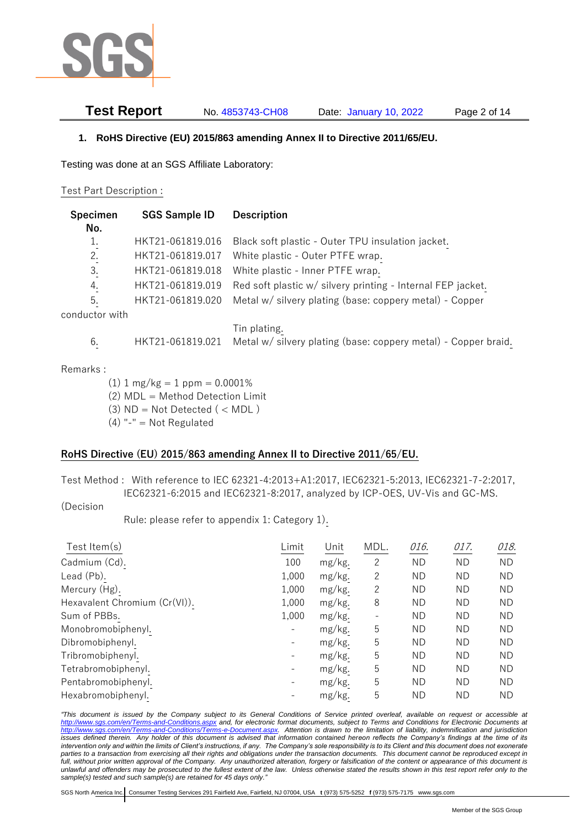

**Test Report** No. 4853743-CH08 Date: January 10, 2022 Page 2 of 14

### **1. RoHS Directive (EU) 2015/863 amending Annex II to Directive 2011/65/EU.**

Testing was done at an SGS Affiliate Laboratory:

#### Test Part Description :

| Specimen<br>No. | <b>SGS Sample ID</b> | <b>Description</b>                                             |
|-----------------|----------------------|----------------------------------------------------------------|
| 1.              | HKT21-061819.016     | Black soft plastic - Outer TPU insulation jacket.              |
| 2.              | HKT21-061819.017     | White plastic - Outer PTFE wrap.                               |
| 3.              | HKT21-061819.018     | White plastic - Inner PTFE wrap.                               |
| 4.              | HKT21-061819.019     | Red soft plastic w/ silvery printing - Internal FEP jacket.    |
| 5.              | HKT21-061819.020     | Metal w/ silvery plating (base: coppery metal) - Copper        |
| conductor with  |                      |                                                                |
|                 |                      | Tin plating.                                                   |
| 6.              | HKT21-061819.021     | Metal w/ silvery plating (base: coppery metal) - Copper braid. |

#### Remarks :

 $(1)$  1 mg/kg = 1 ppm = 0.0001%

- (2) MDL = Method Detection Limit
- $(3)$  ND = Not Detected  $($  < MDL)
- $(4)$  "-" = Not Regulated

## **RoHS Directive (EU) 2015/863 amending Annex II to Directive 2011/65/EU.**

Test Method : With reference to IEC 62321-4:2013+A1:2017, IEC62321-5:2013, IEC62321-7-2:2017, IEC62321-6:2015 and IEC62321-8:2017, analyzed by ICP-OES, UV-Vis and GC-MS.

#### (Decision

Rule: please refer to appendix 1: Category 1).

| Test Item $(s)$               | Limit | Unit   | MDL.           | 016.      | 017.      | 018.      |
|-------------------------------|-------|--------|----------------|-----------|-----------|-----------|
| Cadmium (Cd).                 | 100   | mg/kg. | $\overline{c}$ | <b>ND</b> | <b>ND</b> | <b>ND</b> |
| Lead (Pb).                    | 1,000 | mg/kg. | 2              | <b>ND</b> | <b>ND</b> | ND.       |
| Mercury (Hg).                 | 1,000 | mg/kg. | 2              | <b>ND</b> | ΝD        | ND.       |
| Hexavalent Chromium (Cr(VI)). | 1,000 | mg/kg. | 8              | <b>ND</b> | <b>ND</b> | ND.       |
| Sum of PBBs.                  | 1,000 | mg/kg. |                | <b>ND</b> | <b>ND</b> | ND.       |
| Monobromobiphenyl.            |       | mg/kg. | 5              | <b>ND</b> | <b>ND</b> | ND.       |
| Dibromobiphenyl.              |       | mg/kg. | 5              | <b>ND</b> | <b>ND</b> | ΝD        |
| Tribromobiphenyl.             |       | mg/kg. | 5              | <b>ND</b> | <b>ND</b> | ΝD        |
| Tetrabromobiphenyl.           |       | mg/kg. | 5              | <b>ND</b> | <b>ND</b> | <b>ND</b> |
| Pentabromobiphenyl.           |       | mg/kg. | 5              | <b>ND</b> | <b>ND</b> | ΝD        |
| Hexabromobiphenyl.            |       | mg/kg. | 5              | <b>ND</b> | <b>ND</b> | ΝD        |

*"This document is issued by the Company subject to its General Conditions of Service printed overleaf, available on request or accessible at <http://www.sgs.com/en/Terms-and-Conditions.aspx> and, for electronic format documents, subject to Terms and Conditions for Electronic Documents at [http://www.sgs.com/en/Terms-and-Conditions/Terms-e-Document.aspx.](http://www.sgs.com/en/Terms-and-Conditions/Terms-e-Document.aspx) Attention is drawn to the limitation of liability, indemnification and jurisdiction issues defined therein. Any holder of this document is advised that information contained hereon reflects the Company's findings at the time of its intervention only and within the limits of Client's instructions, if any. The Company's sole responsibility is to its Client and this document does not exonerate parties to a transaction from exercising all their rights and obligations under the transaction documents. This document cannot be reproduced except in full, without prior written approval of the Company. Any unauthorized alteration, forgery or falsification of the content or appearance of this document is unlawful and offenders may be prosecuted to the fullest extent of the law. Unless otherwise stated the results shown in this test report refer only to the sample(s) tested and such sample(s) are retained for 45 days only."*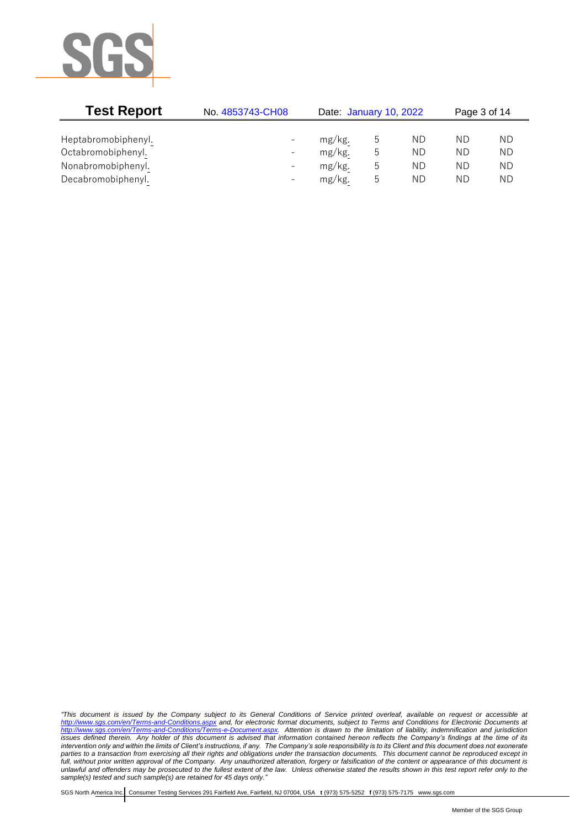

| <b>Test Report</b><br>No. 4853743-CH08 |                              |        | Date: January 10, 2022 |    | Page 3 of 14 |    |
|----------------------------------------|------------------------------|--------|------------------------|----|--------------|----|
|                                        |                              |        |                        |    |              |    |
| Heptabromobiphenyl.                    | $\overline{\phantom{a}}$     | mg/kg. |                        | ΝD | ΝD           | ΝD |
| Octabromobiphenyl.                     | $\overline{\phantom{a}}$     | mg/kg. | b                      | ΝD | ΝD           | ΝD |
| Nonabromobiphenyl.                     | $\overline{\phantom{0}}$     | mg/kg. | b.                     | ΝD | ΝD           | ΝD |
| Decabromobiphenyl.                     | $\qquad \qquad \blacksquare$ | mg/kg. | b                      | ΝD | ΝD           | ΝD |

*"This document is issued by the Company subject to its General Conditions of Service printed overleaf, available on request or accessible at <http://www.sgs.com/en/Terms-and-Conditions.aspx> and, for electronic format documents, subject to Terms and Conditions for Electronic Documents at [http://www.sgs.com/en/Terms-and-Conditions/Terms-e-Document.aspx.](http://www.sgs.com/en/Terms-and-Conditions/Terms-e-Document.aspx) Attention is drawn to the limitation of liability, indemnification and jurisdiction issues defined therein. Any holder of this document is advised that information contained hereon reflects the Company's findings at the time of its intervention only and within the limits of Client's instructions, if any. The Company's sole responsibility is to its Client and this document does not exonerate parties to a transaction from exercising all their rights and obligations under the transaction documents. This document cannot be reproduced except in full, without prior written approval of the Company. Any unauthorized alteration, forgery or falsification of the content or appearance of this document is unlawful and offenders may be prosecuted to the fullest extent of the law. Unless otherwise stated the results shown in this test report refer only to the sample(s) tested and such sample(s) are retained for 45 days only."*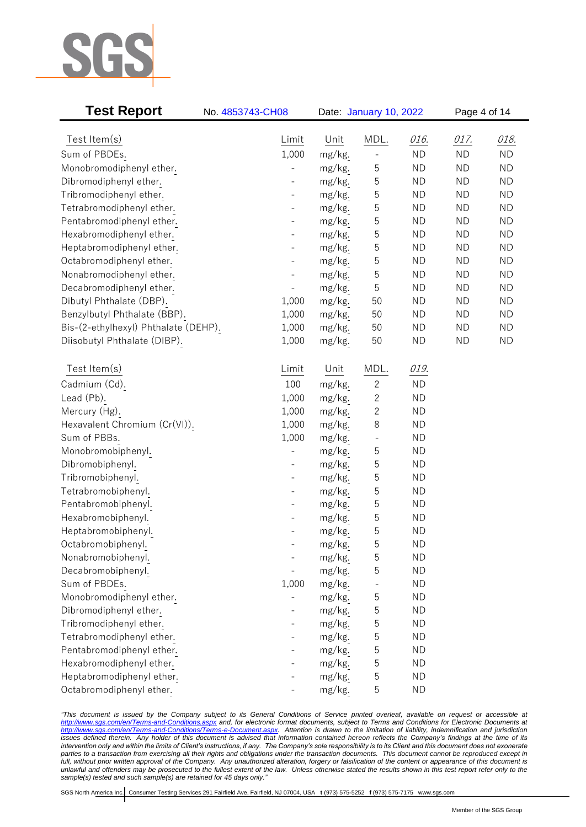

| <b>Test Report</b>                                   | No. 4853743-CH08 |                  |                   | Date: January 10, 2022 |           |           |
|------------------------------------------------------|------------------|------------------|-------------------|------------------------|-----------|-----------|
| Test Item(s)                                         | Limit            | Unit             | MDL.              | 016.                   | 017.      | 018.      |
|                                                      | 1,000            |                  |                   | <b>ND</b>              | <b>ND</b> | <b>ND</b> |
| Sum of PBDEs.                                        |                  | mg/kg.           |                   | <b>ND</b>              | <b>ND</b> | <b>ND</b> |
| Monobromodiphenyl ether.                             |                  | mg/kg.<br>mg/kg. | 5<br>5            | <b>ND</b>              | <b>ND</b> | <b>ND</b> |
| Dibromodiphenyl ether.                               |                  |                  | 5                 | <b>ND</b>              | <b>ND</b> | <b>ND</b> |
| Tribromodiphenyl ether.<br>Tetrabromodiphenyl ether. |                  | mg/kg.<br>mg/kg. | 5                 | <b>ND</b>              | <b>ND</b> | <b>ND</b> |
| Pentabromodiphenyl ether.                            |                  | mg/kg.           | 5                 | <b>ND</b>              | <b>ND</b> | <b>ND</b> |
| Hexabromodiphenyl ether.                             |                  | mg/kg.           | 5                 | <b>ND</b>              | <b>ND</b> | <b>ND</b> |
| Heptabromodiphenyl ether.                            |                  | mg/kg.           | 5                 | <b>ND</b>              | <b>ND</b> | <b>ND</b> |
| Octabromodiphenyl ether.                             |                  | mg/kg.           | 5                 | <b>ND</b>              | <b>ND</b> | <b>ND</b> |
| Nonabromodiphenyl ether.                             |                  | mg/kg.           | 5                 | <b>ND</b>              | <b>ND</b> | <b>ND</b> |
| Decabromodiphenyl ether.                             |                  | mg/kg.           | 5                 | <b>ND</b>              | <b>ND</b> | <b>ND</b> |
| Dibutyl Phthalate (DBP).                             | 1,000            | mg/kg.           | 50                | <b>ND</b>              | <b>ND</b> | <b>ND</b> |
| Benzylbutyl Phthalate (BBP).                         | 1,000            | mg/kg.           | 50                | <b>ND</b>              | <b>ND</b> | <b>ND</b> |
| Bis-(2-ethylhexyl) Phthalate (DEHP).                 | 1,000            | mg/kg.           | 50                | <b>ND</b>              | <b>ND</b> | <b>ND</b> |
| Diisobutyl Phthalate (DIBP).                         | 1,000            | mg/kg.           | 50                | <b>ND</b>              | <b>ND</b> | <b>ND</b> |
|                                                      |                  |                  |                   |                        |           |           |
| Test Item(s)                                         | Limit            | Unit             | MDL.              | 019.                   |           |           |
| Cadmium (Cd).                                        | 100              | mg/kg.           | $\mathbf{2}$      | <b>ND</b>              |           |           |
| Lead (Pb).                                           | 1,000            | mg/kg.           | $\overline{c}$    | <b>ND</b>              |           |           |
| Mercury (Hg).                                        | 1,000            | mg/kg.           | $\overline{c}$    | <b>ND</b>              |           |           |
| Hexavalent Chromium (Cr(VI)).                        | 1,000            | mg/kg.           | 8                 | <b>ND</b>              |           |           |
| Sum of PBBs.                                         | 1,000            | mg/kg.           | $\qquad \qquad -$ | <b>ND</b>              |           |           |
| Monobromobiphenyl.                                   |                  | mg/kg.           | 5                 | <b>ND</b>              |           |           |
| Dibromobiphenyl.                                     |                  | mg/kg.           | 5                 | <b>ND</b>              |           |           |
| Tribromobiphenyl.                                    |                  | mg/kg.           | 5                 | <b>ND</b>              |           |           |
| Tetrabromobiphenyl.                                  |                  | mg/kg.           | 5                 | <b>ND</b>              |           |           |
| Pentabromobiphenyl.                                  |                  | mg/kg.           | 5                 | <b>ND</b>              |           |           |
| Hexabromobiphenyl.                                   |                  | mg/kg.           | 5                 | <b>ND</b>              |           |           |
| Heptabromobiphenyl.                                  |                  | mg/kg.           | 5                 | <b>ND</b>              |           |           |
| Octabromobiphenyl                                    |                  | mg/kg.           | 5                 | <b>ND</b>              |           |           |
| Nonabromobiphenyl.                                   |                  | mg/kg.           | 5                 | <b>ND</b>              |           |           |
| Decabromobiphenyl.                                   |                  | mg/kg.           | 5                 | <b>ND</b>              |           |           |
| Sum of PBDEs.                                        | 1,000            | mg/kg.           |                   | <b>ND</b>              |           |           |
| Monobromodiphenyl ether.                             |                  | mg/kg.           | 5                 | <b>ND</b>              |           |           |
| Dibromodiphenyl ether.                               |                  | mg/kg.           | 5                 | <b>ND</b>              |           |           |
| Tribromodiphenyl ether.                              |                  | mg/kg.           | 5                 | <b>ND</b>              |           |           |
| Tetrabromodiphenyl ether.                            |                  | mg/kg.           | 5                 | <b>ND</b>              |           |           |
| Pentabromodiphenyl ether.                            |                  | mg/kg.           | 5                 | <b>ND</b>              |           |           |
| Hexabromodiphenyl ether.                             |                  | mg/kg.           | 5                 | <b>ND</b>              |           |           |
| Heptabromodiphenyl ether.                            |                  | mg/kg.           | 5                 | <b>ND</b>              |           |           |
| Octabromodiphenyl ether.                             |                  | mg/kg.           | 5                 | <b>ND</b>              |           |           |

*"This document is issued by the Company subject to its General Conditions of Service printed overleaf, available on request or accessible at <http://www.sgs.com/en/Terms-and-Conditions.aspx> and, for electronic format documents, subject to Terms and Conditions for Electronic Documents at [http://www.sgs.com/en/Terms-and-Conditions/Terms-e-Document.aspx.](http://www.sgs.com/en/Terms-and-Conditions/Terms-e-Document.aspx) Attention is drawn to the limitation of liability, indemnification and jurisdiction issues defined therein. Any holder of this document is advised that information contained hereon reflects the Company's findings at the time of its intervention only and within the limits of Client's instructions, if any. The Company's sole responsibility is to its Client and this document does not exonerate parties to a transaction from exercising all their rights and obligations under the transaction documents. This document cannot be reproduced except in full, without prior written approval of the Company. Any unauthorized alteration, forgery or falsification of the content or appearance of this document is unlawful and offenders may be prosecuted to the fullest extent of the law. Unless otherwise stated the results shown in this test report refer only to the sample(s) tested and such sample(s) are retained for 45 days only."*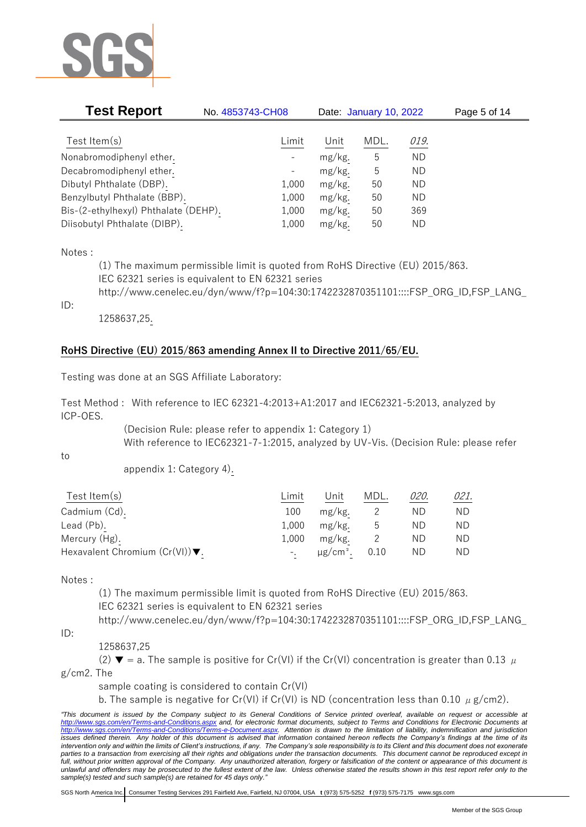

| <b>Test Report</b>                   | No. 4853743-CH08         | Date: January 10, 2022 |      |             | Page 5 of 14 |  |
|--------------------------------------|--------------------------|------------------------|------|-------------|--------------|--|
|                                      |                          |                        |      |             |              |  |
| Test Item $(s)$                      | Limit                    | Unit                   | MDL. | <u>019.</u> |              |  |
| Nonabromodiphenyl ether.             | $\overline{\phantom{a}}$ | mg/kg.                 | 5    | ΝD          |              |  |
| Decabromodiphenyl ether.             | $\overline{\phantom{a}}$ | mg/kg.                 | 5    | ΝD          |              |  |
| Dibutyl Phthalate (DBP).             | 1,000                    | mg/kg.                 | 50   | ΝD          |              |  |
| Benzylbutyl Phthalate (BBP).         | 1,000                    | mg/kg.                 | 50   | ΝD          |              |  |
| Bis-(2-ethylhexyl) Phthalate (DEHP). | 1,000                    | mg/kg.                 | 50   | 369         |              |  |
| Diisobutyl Phthalate (DIBP).         | 1,000                    | $mg/kg$ .              | 50   | <b>ND</b>   |              |  |

Notes :

(1) The maximum permissible limit is quoted from RoHS Directive (EU) 2015/863. IEC 62321 series is equivalent to EN 62321 series http://www.cenelec.eu/dyn/www/f?p=104:30:1742232870351101::::FSP\_ORG\_ID,FSP\_LANG\_

ID:

1258637,25.

## **RoHS Directive (EU) 2015/863 amending Annex II to Directive 2011/65/EU.**

Testing was done at an SGS Affiliate Laboratory:

Test Method : With reference to IEC 62321-4:2013+A1:2017 and IEC62321-5:2013, analyzed by ICP-OES.

> (Decision Rule: please refer to appendix 1: Category 1) With reference to IEC62321-7-1:2015, analyzed by UV-Vis. (Decision Rule: please refer

to

appendix 1: Category 4).

| Test Item $(s)$                                    | ∟imit | Jnit                      | MDL. | 020. | 021. |
|----------------------------------------------------|-------|---------------------------|------|------|------|
| Cadmium (Cd).                                      | 100   | mg/kg.                    |      | ΝD   | ND.  |
| Lead (Pb).                                         | 1,000 | mg/kg.                    | ს    | ΝD   | ND.  |
| Mercury (Hg).                                      | 1.000 | mg/kg.                    |      | ND.  | ND.  |
| Hexavalent Chromium $(Cr(VI))\blacktriangledown$ . |       | $\mu$ g/cm <sup>2</sup> . | 0.10 | ND   | ND.  |

Notes :

(1) The maximum permissible limit is quoted from RoHS Directive (EU) 2015/863. IEC 62321 series is equivalent to EN 62321 series http://www.cenelec.eu/dyn/www/f?p=104:30:1742232870351101::::FSP\_ORG\_ID,FSP\_LANG\_

ID:

1258637,25

(2)  $\blacktriangledown$  = a. The sample is positive for Cr(VI) if the Cr(VI) concentration is greater than 0.13  $\mu$ 

g/cm2. The

sample coating is considered to contain Cr(VI)

b. The sample is negative for Cr(VI) if Cr(VI) is ND (concentration less than 0.10  $\mu$  g/cm2).

*<sup>&</sup>quot;This document is issued by the Company subject to its General Conditions of Service printed overleaf, available on request or accessible at <http://www.sgs.com/en/Terms-and-Conditions.aspx> and, for electronic format documents, subject to Terms and Conditions for Electronic Documents at [http://www.sgs.com/en/Terms-and-Conditions/Terms-e-Document.aspx.](http://www.sgs.com/en/Terms-and-Conditions/Terms-e-Document.aspx) Attention is drawn to the limitation of liability, indemnification and jurisdiction*  issues defined therein. Any holder of this document is advised that information contained hereon reflects the Company's findings at the time of its *intervention only and within the limits of Client's instructions, if any. The Company's sole responsibility is to its Client and this document does not exonerate*  parties to a transaction from exercising all their rights and obligations under the transaction documents. This document cannot be reproduced except in *full, without prior written approval of the Company. Any unauthorized alteration, forgery or falsification of the content or appearance of this document is unlawful and offenders may be prosecuted to the fullest extent of the law. Unless otherwise stated the results shown in this test report refer only to the sample(s) tested and such sample(s) are retained for 45 days only."*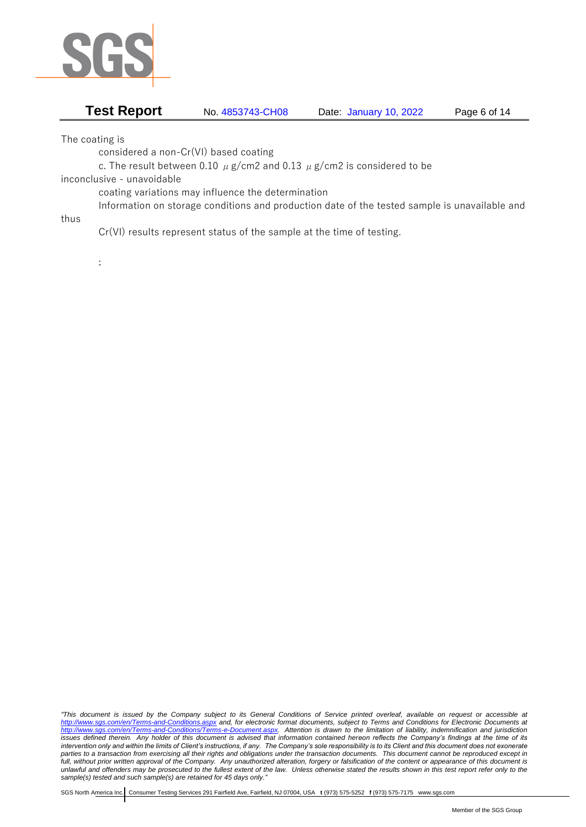

## **Test Report** No. 4853743-CH08 Date: January 10, 2022 Page 6 of 14

The coating is

considered a non-Cr(VI) based coating

c. The result between 0.10  $\mu$  g/cm2 and 0.13  $\mu$  g/cm2 is considered to be

inconclusive - unavoidable

coating variations may influence the determination

Information on storage conditions and production date of the tested sample is unavailable and thus

Cr(VI) results represent status of the sample at the time of testing.

.

*"This document is issued by the Company subject to its General Conditions of Service printed overleaf, available on request or accessible at <http://www.sgs.com/en/Terms-and-Conditions.aspx> and, for electronic format documents, subject to Terms and Conditions for Electronic Documents at [http://www.sgs.com/en/Terms-and-Conditions/Terms-e-Document.aspx.](http://www.sgs.com/en/Terms-and-Conditions/Terms-e-Document.aspx) Attention is drawn to the limitation of liability, indemnification and jurisdiction issues defined therein. Any holder of this document is advised that information contained hereon reflects the Company's findings at the time of its intervention only and within the limits of Client's instructions, if any. The Company's sole responsibility is to its Client and this document does not exonerate parties to a transaction from exercising all their rights and obligations under the transaction documents. This document cannot be reproduced except in full, without prior written approval of the Company. Any unauthorized alteration, forgery or falsification of the content or appearance of this document is unlawful and offenders may be prosecuted to the fullest extent of the law. Unless otherwise stated the results shown in this test report refer only to the sample(s) tested and such sample(s) are retained for 45 days only."*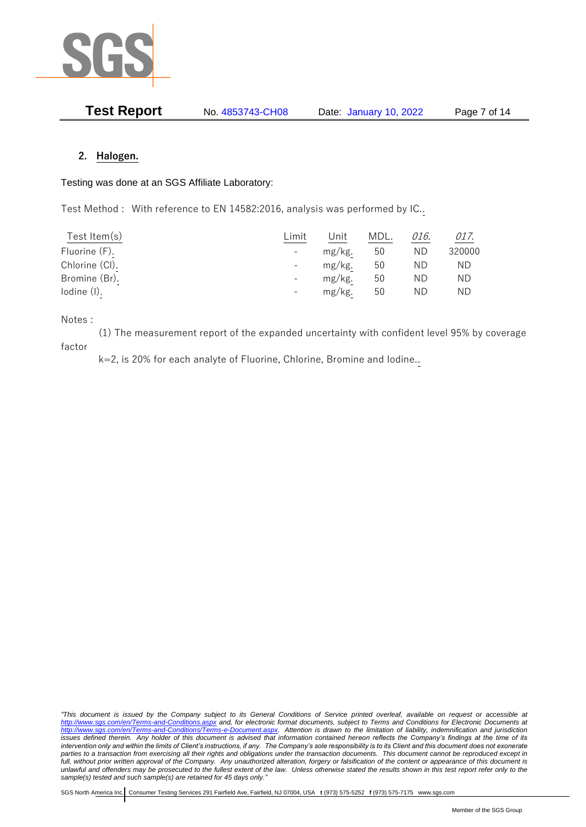

| <b>Test Report</b> | No. 4853743-CH08 | Date: January 10, 2022 | Page 7 of 14 |
|--------------------|------------------|------------------------|--------------|
|--------------------|------------------|------------------------|--------------|

### **2. Halogen.**

#### Testing was done at an SGS Affiliate Laboratory:

Test Method : With reference to EN 14582:2016, analysis was performed by IC..

| Test Item $(s)$ | Limit | Unit   | MDL. | 016. | 017.   |
|-----------------|-------|--------|------|------|--------|
| Fluorine (F).   |       | mg/kg. | 50   | ND.  | 320000 |
| Chlorine (CI).  |       | mg/kg. | 50   | ΝD   | ND     |
| Bromine (Br).   |       | mg/kg. | 50   | ΝD   | ΝD     |
| lodine (I).     |       | mg/kg. | 50   | ND   | ΝD     |

Notes :

(1) The measurement report of the expanded uncertainty with confident level 95% by coverage factor

k=2, is 20% for each analyte of Fluorine, Chlorine, Bromine and Iodine..

*"This document is issued by the Company subject to its General Conditions of Service printed overleaf, available on request or accessible at <http://www.sgs.com/en/Terms-and-Conditions.aspx> and, for electronic format documents, subject to Terms and Conditions for Electronic Documents at [http://www.sgs.com/en/Terms-and-Conditions/Terms-e-Document.aspx.](http://www.sgs.com/en/Terms-and-Conditions/Terms-e-Document.aspx) Attention is drawn to the limitation of liability, indemnification and jurisdiction issues defined therein. Any holder of this document is advised that information contained hereon reflects the Company's findings at the time of its intervention only and within the limits of Client's instructions, if any. The Company's sole responsibility is to its Client and this document does not exonerate parties to a transaction from exercising all their rights and obligations under the transaction documents. This document cannot be reproduced except in full, without prior written approval of the Company. Any unauthorized alteration, forgery or falsification of the content or appearance of this document is unlawful and offenders may be prosecuted to the fullest extent of the law. Unless otherwise stated the results shown in this test report refer only to the sample(s) tested and such sample(s) are retained for 45 days only."*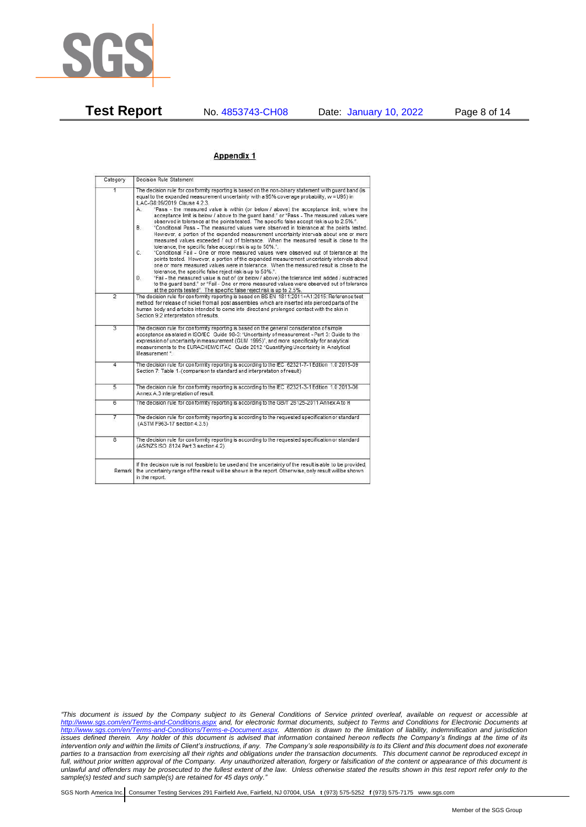

**Test Report** No. 4853743-CH08 Date: January 10, 2022 Page 8 of 14

#### Appendix 1

| Category       | Decision Rule Statement                                                                                                                                                                                                                                                                                                                                                                                                                                                                                                                                                                                                                                                                                                                                                                                                                                                                                                                                                                                                                                                                                                                                                                                                                                                                                                                                                                                                                                                                                           |
|----------------|-------------------------------------------------------------------------------------------------------------------------------------------------------------------------------------------------------------------------------------------------------------------------------------------------------------------------------------------------------------------------------------------------------------------------------------------------------------------------------------------------------------------------------------------------------------------------------------------------------------------------------------------------------------------------------------------------------------------------------------------------------------------------------------------------------------------------------------------------------------------------------------------------------------------------------------------------------------------------------------------------------------------------------------------------------------------------------------------------------------------------------------------------------------------------------------------------------------------------------------------------------------------------------------------------------------------------------------------------------------------------------------------------------------------------------------------------------------------------------------------------------------------|
| $\overline{1}$ | The decision rule for conformity reporting is based on the non-binary statement with quard band (is<br>equal to the expanded measurement uncertainty with a 95% coverage probability, w = U95) in<br>ILAC-G8:09/2019 Clause 4.2.3.<br>"Pass - the measured value is within (or below / above) the acceptance limit, where the<br>А.<br>acceptance limit is below / above to the quard band." or "Pass - The measured values were<br>observed in tolerance at the points tested. The specific false accept risk is up to 2.5%.".<br>B.<br>"Conditional Pass - The measured values were observed in tolerance at the points tested.<br>However, a portion of the expanded measurement uncertainty intervals about one or more<br>measured values exceeded / out of tolerance. When the measured result is close to the<br>tolerance, the specific false accept risk is up to 50%."<br>C.<br>"Conditional Fail - One or more measured values were observed out of tolerance at the<br>points tested. However, a portion of the expanded measurement uncertainty intervals about<br>one or more measured values were in tolerance. When the measured result is close to the<br>tolerance, the specific false reject risk is up to 50%.".<br>"Fail - the measured value is out of (or below / above) the tolerance limit added / subtracted<br>D.<br>to the quard band." or "Fail - One or more measured values were observed out of tolerance<br>at the points tested". The specific false reject risk is up to 2.5%. |
| $\overline{2}$ | The decision rule for conformity reporting is based on BS EN 1811:2011+A1:2015: Reference test<br>method for release of nickel from all post assemblies which are inserted into pierced parts of the<br>human body and articles intended to come into direct and prolonged contact with the skin in<br>Section 9.2 interpretation of results.                                                                                                                                                                                                                                                                                                                                                                                                                                                                                                                                                                                                                                                                                                                                                                                                                                                                                                                                                                                                                                                                                                                                                                     |
| $\overline{3}$ | The decision rule for conformity reporting is based on the general consideration of simple<br>acceptance as stated in ISO/IEC Guide 98-3: "Uncertainty of measurement - Part 3: Guide to the<br>expression of uncertainty in measurement (GUM 1995)", and more specifically for analytical<br>measurements to the EURACHEM/CITAC Guide 2012 "Quantifying Uncertainty in Analytical<br>Measurement *                                                                                                                                                                                                                                                                                                                                                                                                                                                                                                                                                                                                                                                                                                                                                                                                                                                                                                                                                                                                                                                                                                               |
| 4              | The decision rule for conformity reporting is according to the IEC 62321-7-1 Edition 1.0 2015-09<br>Section 7: Table 1-(comparison to standard and interpretation of result)                                                                                                                                                                                                                                                                                                                                                                                                                                                                                                                                                                                                                                                                                                                                                                                                                                                                                                                                                                                                                                                                                                                                                                                                                                                                                                                                      |
| $\overline{5}$ | The decision rule for conformity reporting is according to the IEC 62321-3-1 Edition 1.0 2013-06<br>Annex A.3 interpretation of result.                                                                                                                                                                                                                                                                                                                                                                                                                                                                                                                                                                                                                                                                                                                                                                                                                                                                                                                                                                                                                                                                                                                                                                                                                                                                                                                                                                           |
| 6              | The decision rule for conformity reporting is according to the GB/T 26125-2011 Annex A to H                                                                                                                                                                                                                                                                                                                                                                                                                                                                                                                                                                                                                                                                                                                                                                                                                                                                                                                                                                                                                                                                                                                                                                                                                                                                                                                                                                                                                       |
| 7              | The decision rule for conformity reporting is according to the requested specification or standard<br>(ASTM F963-17 section 4.3.5)                                                                                                                                                                                                                                                                                                                                                                                                                                                                                                                                                                                                                                                                                                                                                                                                                                                                                                                                                                                                                                                                                                                                                                                                                                                                                                                                                                                |
| $\overline{8}$ | The decision rule for conformity reporting is according to the requested specification or standard<br>(AS/NZS ISO 8124 Part 3 section 4.2)                                                                                                                                                                                                                                                                                                                                                                                                                                                                                                                                                                                                                                                                                                                                                                                                                                                                                                                                                                                                                                                                                                                                                                                                                                                                                                                                                                        |
|                | If the decision rule is not feasible to be used and the uncertainty of the result is able to be provided,<br>Remark the uncertainty range of the result will be shown in the report. Otherwise, only result will be shown<br>in the report.                                                                                                                                                                                                                                                                                                                                                                                                                                                                                                                                                                                                                                                                                                                                                                                                                                                                                                                                                                                                                                                                                                                                                                                                                                                                       |

*"This document is issued by the Company subject to its General Conditions of Service printed overleaf, available on request or accessible at <http://www.sgs.com/en/Terms-and-Conditions.aspx> and, for electronic format documents, subject to Terms and Conditions for Electronic Documents at [http://www.sgs.com/en/Terms-and-Conditions/Terms-e-Document.aspx.](http://www.sgs.com/en/Terms-and-Conditions/Terms-e-Document.aspx) Attention is drawn to the limitation of liability, indemnification and jurisdiction issues defined therein. Any holder of this document is advised that information contained hereon reflects the Company's findings at the time of its intervention only and within the limits of Client's instructions, if any. The Company's sole responsibility is to its Client and this document does not exonerate parties to a transaction from exercising all their rights and obligations under the transaction documents. This document cannot be reproduced except in full, without prior written approval of the Company. Any unauthorized alteration, forgery or falsification of the content or appearance of this document is unlawful and offenders may be prosecuted to the fullest extent of the law. Unless otherwise stated the results shown in this test report refer only to the sample(s) tested and such sample(s) are retained for 45 days only."*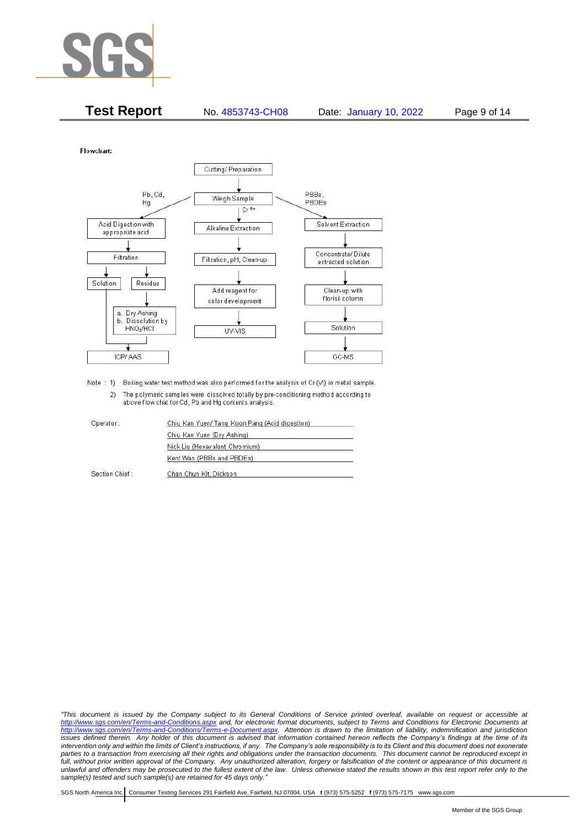

| <b>Test Report</b> | No. 4853743-CH08 | Date: January 10, 2022 | Page 9 of 14 |
|--------------------|------------------|------------------------|--------------|
|                    |                  |                        |              |

Flowchart:



Note : 1) Boiling water test method was also performed for the analysis of Cr (VI) in metal sample. 2) The polymeric samples were dissolved totally by pre-conditioning method according to above flow chat for Cd, Pb and Hg contents analysis

| Operator:      | Chiu Kan Yuen/ Tang Koon Pang (Acid digestion) |  |
|----------------|------------------------------------------------|--|
|                | Chiu Kan Yuen (Dry Ashing)                     |  |
|                | Nick Liu (Hexavalent Chromium)                 |  |
|                | Kent Wan (PBBs and PBDEs)                      |  |
| Section Chief: | Chan Chun Kit, Dickson                         |  |

*"This document is issued by the Company subject to its General Conditions of Service printed overleaf, available on request or accessible at <http://www.sgs.com/en/Terms-and-Conditions.aspx> and, for electronic format documents, subject to Terms and Conditions for Electronic Documents at [http://www.sgs.com/en/Terms-and-Conditions/Terms-e-Document.aspx.](http://www.sgs.com/en/Terms-and-Conditions/Terms-e-Document.aspx) Attention is drawn to the limitation of liability, indemnification and jurisdiction issues defined therein. Any holder of this document is advised that information contained hereon reflects the Company's findings at the time of its intervention only and within the limits of Client's instructions, if any. The Company's sole responsibility is to its Client and this document does not exonerate*  parties to a transaction from exercising all their rights and obligations under the transaction documents. This document cannot be reproduced except in *full, without prior written approval of the Company. Any unauthorized alteration, forgery or falsification of the content or appearance of this document is unlawful and offenders may be prosecuted to the fullest extent of the law. Unless otherwise stated the results shown in this test report refer only to the sample(s) tested and such sample(s) are retained for 45 days only."*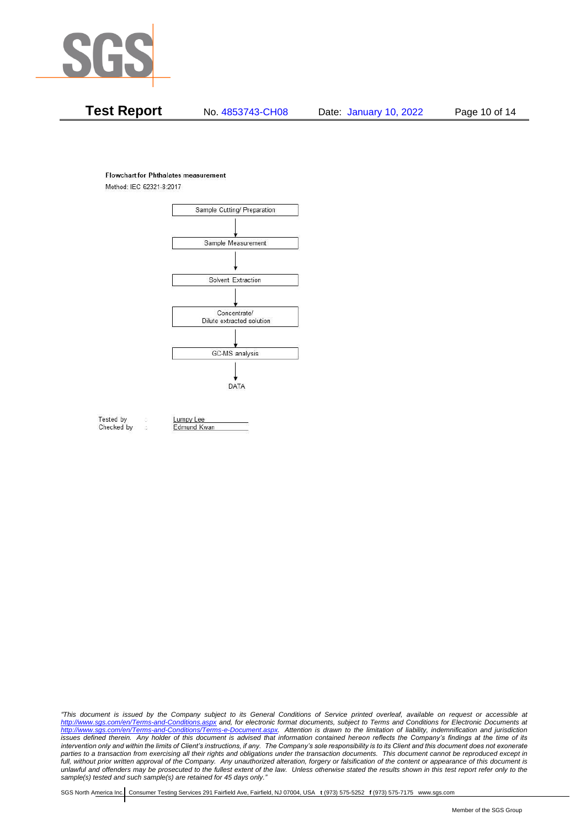

## **Test Report** No. 4853743-CH08 Date: January 10, 2022 Page 10 of 14

#### **Flowchart for Phthalates measurement**

Method: IEC 62321-8:2017



Tested by Checked by Lumpy Lee

Edmund Kwan

*"This document is issued by the Company subject to its General Conditions of Service printed overleaf, available on request or accessible at <http://www.sgs.com/en/Terms-and-Conditions.aspx> and, for electronic format documents, subject to Terms and Conditions for Electronic Documents at [http://www.sgs.com/en/Terms-and-Conditions/Terms-e-Document.aspx.](http://www.sgs.com/en/Terms-and-Conditions/Terms-e-Document.aspx) Attention is drawn to the limitation of liability, indemnification and jurisdiction issues defined therein. Any holder of this document is advised that information contained hereon reflects the Company's findings at the time of its intervention only and within the limits of Client's instructions, if any. The Company's sole responsibility is to its Client and this document does not exonerate*  parties to a transaction from exercising all their rights and obligations under the transaction documents. This document cannot be reproduced except in *full, without prior written approval of the Company. Any unauthorized alteration, forgery or falsification of the content or appearance of this document is unlawful and offenders may be prosecuted to the fullest extent of the law. Unless otherwise stated the results shown in this test report refer only to the sample(s) tested and such sample(s) are retained for 45 days only."*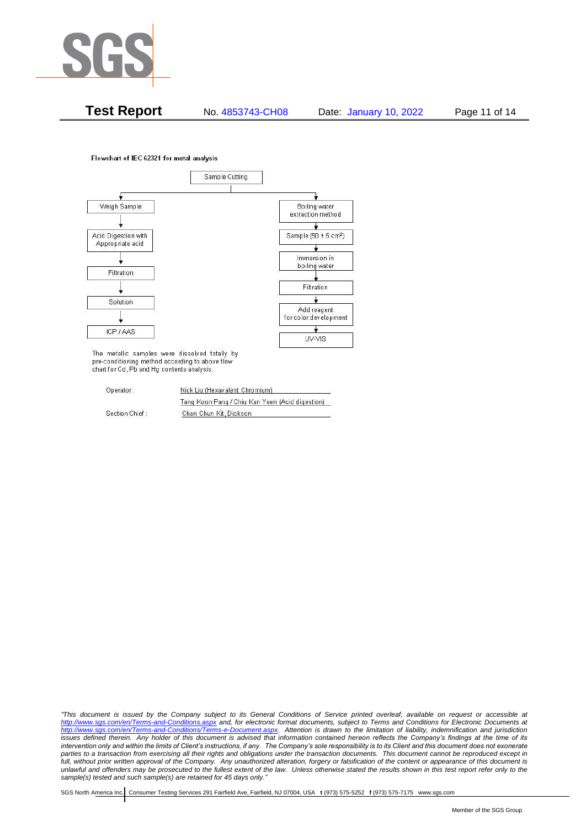

**Test Report** No. 4853743-CH08 Date: January 10, 2022 Page 11 of 14

Flowchart of IEC 62321 for metal analysis



The metallic samples were dissolved totally by pre-conditioning method according to above flow chart for Cd, Pb and Hg contents analysis.

| Operator:      | Nick Liu (Hexavalent Chromium)                  |
|----------------|-------------------------------------------------|
|                | Tang Koon Pang / Chiu Kan Yuen (Acid digestion) |
| Section Chief: | Chan Chun Kit, Dickson                          |

*"This document is issued by the Company subject to its General Conditions of Service printed overleaf, available on request or accessible at <http://www.sgs.com/en/Terms-and-Conditions.aspx> and, for electronic format documents, subject to Terms and Conditions for Electronic Documents at [http://www.sgs.com/en/Terms-and-Conditions/Terms-e-Document.aspx.](http://www.sgs.com/en/Terms-and-Conditions/Terms-e-Document.aspx) Attention is drawn to the limitation of liability, indemnification and jurisdiction issues defined therein. Any holder of this document is advised that information contained hereon reflects the Company's findings at the time of its intervention only and within the limits of Client's instructions, if any. The Company's sole responsibility is to its Client and this document does not exonerate parties to a transaction from exercising all their rights and obligations under the transaction documents. This document cannot be reproduced except in full, without prior written approval of the Company. Any unauthorized alteration, forgery or falsification of the content or appearance of this document is unlawful and offenders may be prosecuted to the fullest extent of the law. Unless otherwise stated the results shown in this test report refer only to the sample(s) tested and such sample(s) are retained for 45 days only."*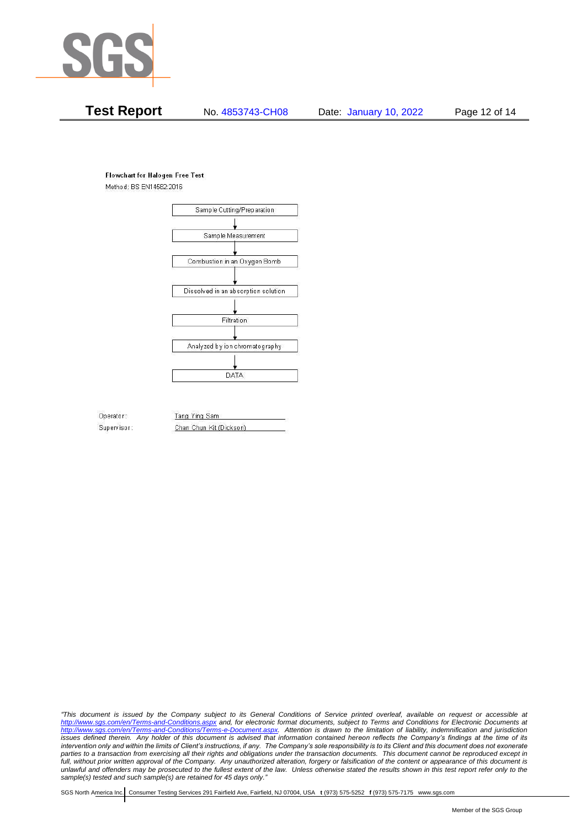

## **Test Report** No. 4853743-CH08 Date: January 10, 2022 Page 12 of 14

#### **Flowchart for Halogen Free Test**

Method: BS EN14582:2016



Operator: Supervisor: Tang Ying Sam Chan Chun Kit (Dickson)

*"This document is issued by the Company subject to its General Conditions of Service printed overleaf, available on request or accessible at <http://www.sgs.com/en/Terms-and-Conditions.aspx> and, for electronic format documents, subject to Terms and Conditions for Electronic Documents at [http://www.sgs.com/en/Terms-and-Conditions/Terms-e-Document.aspx.](http://www.sgs.com/en/Terms-and-Conditions/Terms-e-Document.aspx) Attention is drawn to the limitation of liability, indemnification and jurisdiction issues defined therein. Any holder of this document is advised that information contained hereon reflects the Company's findings at the time of its intervention only and within the limits of Client's instructions, if any. The Company's sole responsibility is to its Client and this document does not exonerate parties to a transaction from exercising all their rights and obligations under the transaction documents. This document cannot be reproduced except in full, without prior written approval of the Company. Any unauthorized alteration, forgery or falsification of the content or appearance of this document is unlawful and offenders may be prosecuted to the fullest extent of the law. Unless otherwise stated the results shown in this test report refer only to the sample(s) tested and such sample(s) are retained for 45 days only."*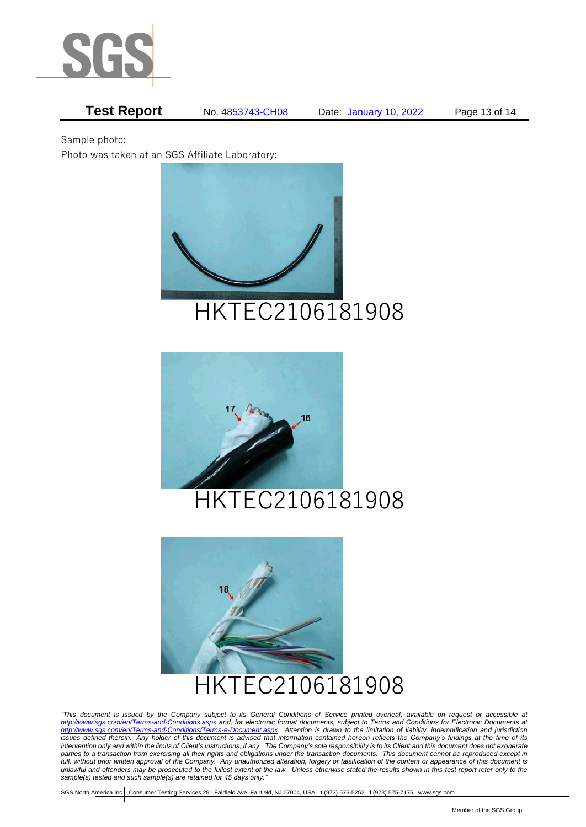

# **Test Report** No. 4853743-CH08 Date: January 10, 2022 Page 13 of 14

Sample photo:

Photo was taken at an SGS Affiliate Laboratory:







*"This document is issued by the Company subject to its General Conditions of Service printed overleaf, available on request or accessible at <http://www.sgs.com/en/Terms-and-Conditions.aspx> and, for electronic format documents, subject to Terms and Conditions for Electronic Documents at [http://www.sgs.com/en/Terms-and-Conditions/Terms-e-Document.aspx.](http://www.sgs.com/en/Terms-and-Conditions/Terms-e-Document.aspx) Attention is drawn to the limitation of liability, indemnification and jurisdiction issues defined therein. Any holder of this document is advised that information contained hereon reflects the Company's findings at the time of its intervention only and within the limits of Client's instructions, if any. The Company's sole responsibility is to its Client and this document does not exonerate parties to a transaction from exercising all their rights and obligations under the transaction documents. This document cannot be reproduced except in full, without prior written approval of the Company. Any unauthorized alteration, forgery or falsification of the content or appearance of this document is unlawful and offenders may be prosecuted to the fullest extent of the law. Unless otherwise stated the results shown in this test report refer only to the sample(s) tested and such sample(s) are retained for 45 days only."*